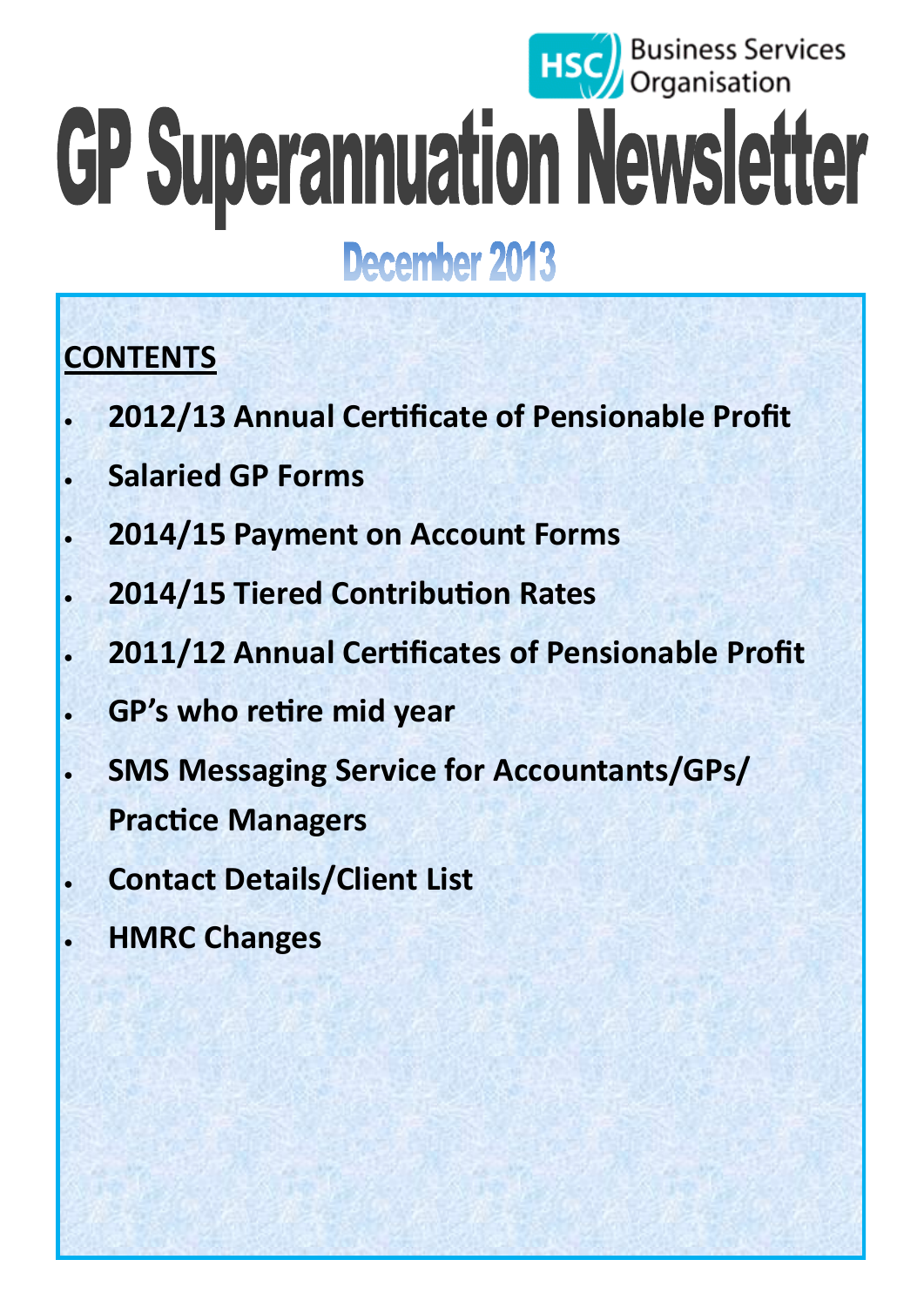# **HSC** Business Services GP Superannuation Newsletter

# December 2013

# **CONTENTS**

- **2012/13 Annual Certificate of Pensionable Profit**
- **Salaried GP Forms**
- **2014/15 Payment on Account Forms**
- **2014/15 Tiered Contribution Rates**
- **2011/12 Annual Certificates of Pensionable Profit**
- **GP's who retire mid year**
- **SMS Messaging Service for Accountants/GPs/ Practice Managers**
- **Contact Details/Client List**
- **HMRC Changes**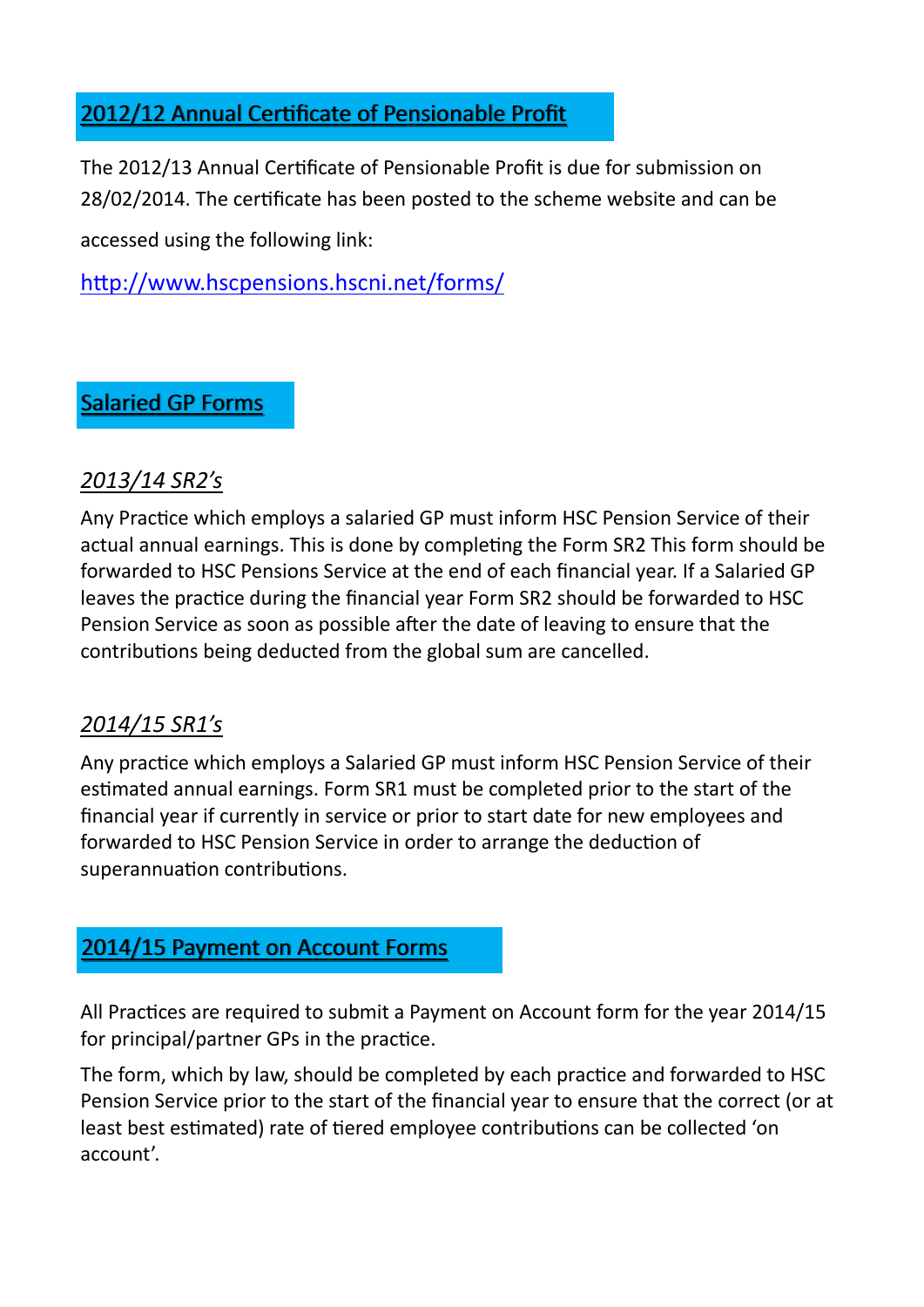#### 2012/12 Annual Certificate of Pensionable Profit

The 2012/13 Annual Certificate of Pensionable Profit is due for submission on 28/02/2014. The certificate has been posted to the scheme website and can be accessed using the following link:

<http://www.hscpensions.hscni.net/forms/>

#### Salaried GP Forms

#### *2013/14 SR2's*

Any Practice which employs a salaried GP must inform HSC Pension Service of their actual annual earnings. This is done by completing the Form SR2 This form should be forwarded to HSC Pensions Service at the end of each financial year. If a Salaried GP leaves the practice during the financial year Form SR2 should be forwarded to HSC Pension Service as soon as possible after the date of leaving to ensure that the contributions being deducted from the global sum are cancelled.

#### *2014/15 SR1's*

Any practice which employs a Salaried GP must inform HSC Pension Service of their estimated annual earnings. Form SR1 must be completed prior to the start of the financial year if currently in service or prior to start date for new employees and forwarded to HSC Pension Service in order to arrange the deduction of superannuation contributions.

#### 2014/15 Payment on Account Forms

All Practices are required to submit a Payment on Account form for the year 2014/15 for principal/partner GPs in the practice.

The form, which by law, should be completed by each practice and forwarded to HSC Pension Service prior to the start of the financial year to ensure that the correct (or at least best estimated) rate of tiered employee contributions can be collected 'on account'.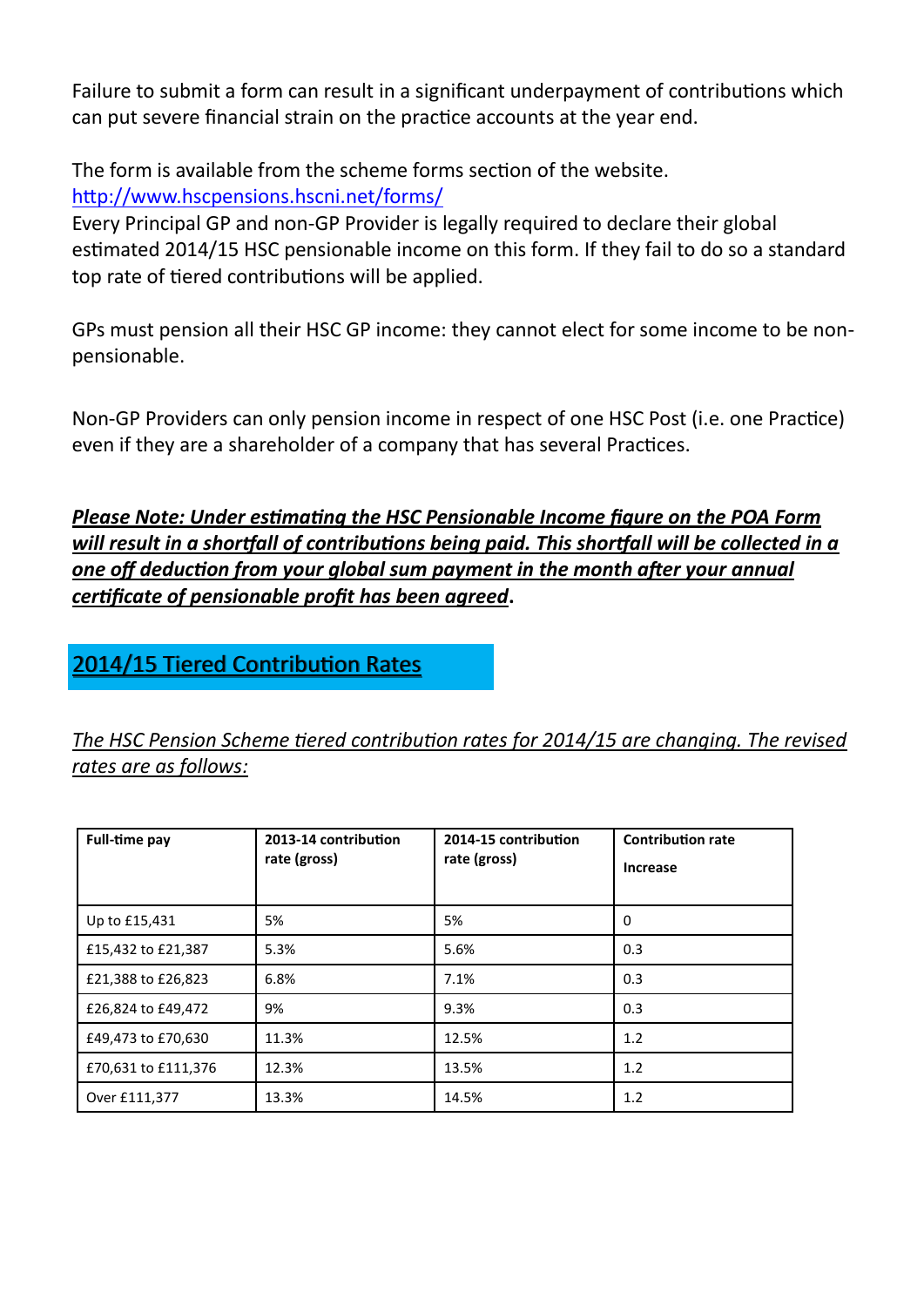Failure to submit a form can result in a significant underpayment of contributions which can put severe financial strain on the practice accounts at the year end.

The form is available from the scheme forms section of the website. <http://www.hscpensions.hscni.net/forms/>

Every Principal GP and non-GP Provider is legally required to declare their global estimated 2014/15 HSC pensionable income on this form. If they fail to do so a standard top rate of tiered contributions will be applied.

GPs must pension all their HSC GP income: they cannot elect for some income to be nonpensionable.

Non-GP Providers can only pension income in respect of one HSC Post (i.e. one Practice) even if they are a shareholder of a company that has several Practices.

*Please Note: Under estimating the HSC Pensionable Income figure on the POA Form will result in a shortfall of contributions being paid. This shortfall will be collected in a one off deduction from your global sum payment in the month after your annual certificate of pensionable profit has been agreed***.**

#### 2014/15 Tiered Contribution Rates

*The HSC Pension Scheme tiered contribution rates for 2014/15 are changing. The revised rates are as follows:*

| <b>Full-time pay</b> | 2013-14 contribution<br>rate (gross) | 2014-15 contribution<br>rate (gross) | <b>Contribution rate</b><br><b>Increase</b> |
|----------------------|--------------------------------------|--------------------------------------|---------------------------------------------|
| Up to £15,431        | 5%                                   | 5%                                   | 0                                           |
| £15,432 to £21,387   | 5.3%                                 | 5.6%                                 | 0.3                                         |
| £21,388 to £26,823   | 6.8%                                 | 7.1%                                 | 0.3                                         |
| £26,824 to £49,472   | 9%                                   | 9.3%                                 | 0.3                                         |
| £49,473 to £70,630   | 11.3%                                | 12.5%                                | 1.2                                         |
| £70,631 to £111,376  | 12.3%                                | 13.5%                                | 1.2                                         |
| Over £111,377        | 13.3%                                | 14.5%                                | 1.2                                         |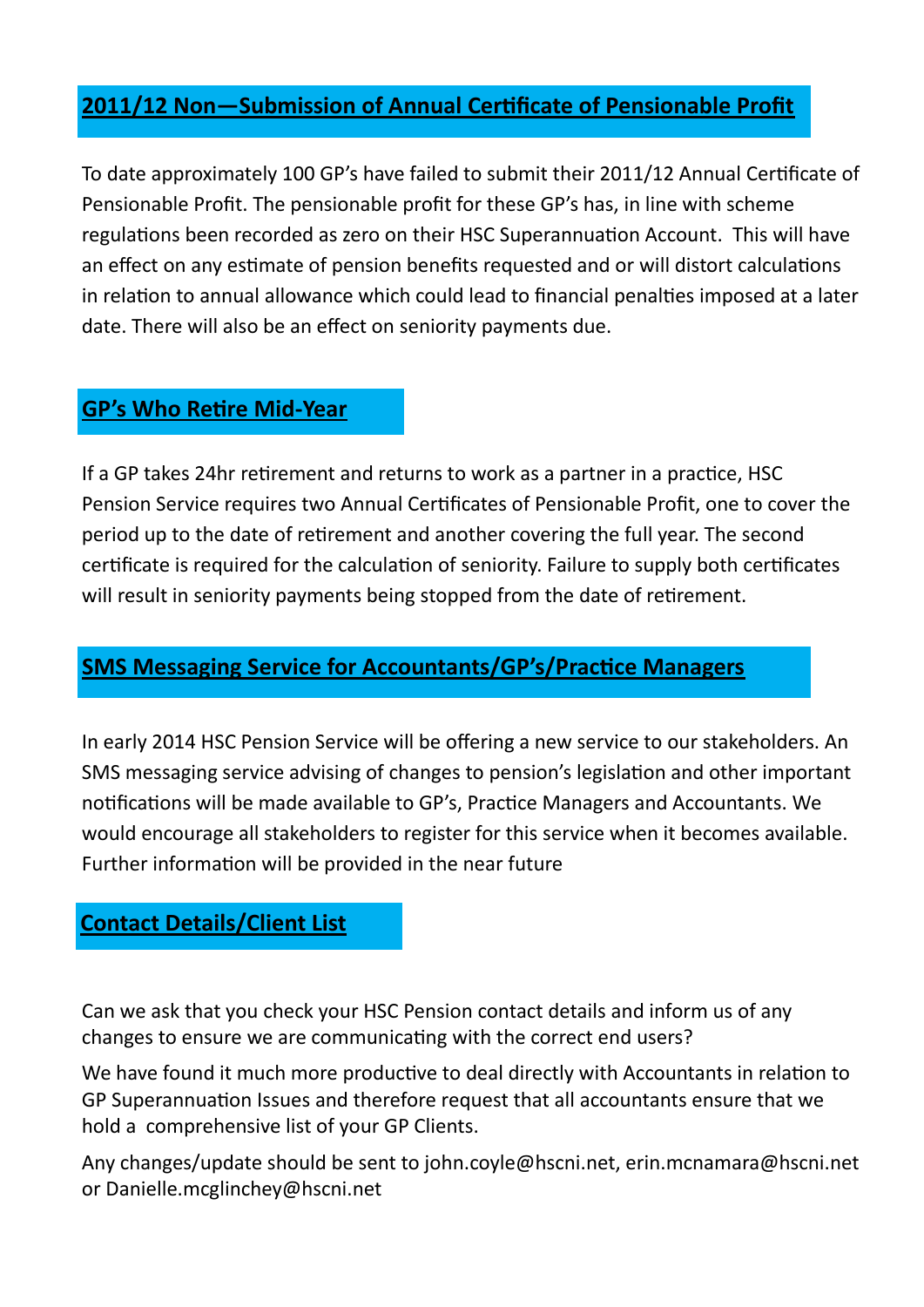#### **2011/12 Non—Submission of Annual Certificate of Pensionable Profit**

To date approximately 100 GP's have failed to submit their 2011/12 Annual Certificate of Pensionable Profit. The pensionable profit for these GP's has, in line with scheme regulations been recorded as zero on their HSC Superannuation Account. This will have an effect on any estimate of pension benefits requested and or will distort calculations in relation to annual allowance which could lead to financial penalties imposed at a later date. There will also be an effect on seniority payments due.

#### **GP's Who Retire Mid-Year**

If a GP takes 24hr retirement and returns to work as a partner in a practice, HSC Pension Service requires two Annual Certificates of Pensionable Profit, one to cover the period up to the date of retirement and another covering the full year. The second certificate is required for the calculation of seniority. Failure to supply both certificates will result in seniority payments being stopped from the date of retirement.

#### **SMS Messaging Service for Accountants/GP's/Practice Managers**

In early 2014 HSC Pension Service will be offering a new service to our stakeholders. An SMS messaging service advising of changes to pension's legislation and other important notifications will be made available to GP's, Practice Managers and Accountants. We would encourage all stakeholders to register for this service when it becomes available. Further information will be provided in the near future

#### **Contact Details/Client List**

Can we ask that you check your HSC Pension contact details and inform us of any changes to ensure we are communicating with the correct end users?

We have found it much more productive to deal directly with Accountants in relation to GP Superannuation Issues and therefore request that all accountants ensure that we hold a comprehensive list of your GP Clients.

Any changes/update should be sent to john.coyle@hscni.net, erin.mcnamara@hscni.net or Danielle.mcglinchey@hscni.net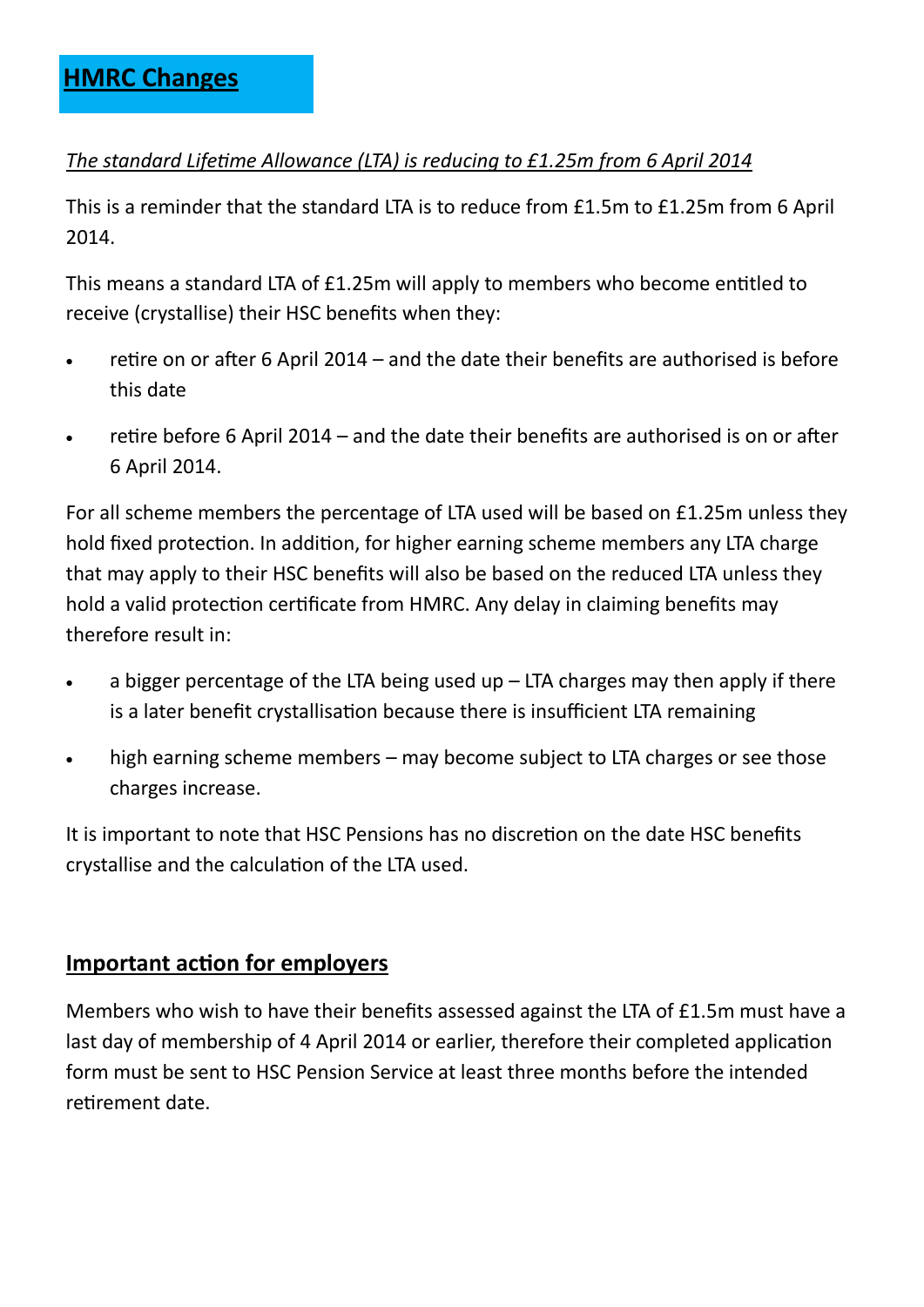#### *The standard Lifetime Allowance (LTA) is reducing to £1.25m from 6 April 2014*

This is a reminder that the standard LTA is to reduce from £1.5m to £1.25m from 6 April 2014.

This means a standard LTA of £1.25m will apply to members who become entitled to receive (crystallise) their HSC benefits when they:

- retire on or after 6 April 2014 and the date their benefits are authorised is before this date
- retire before 6 April 2014 and the date their benefits are authorised is on or after 6 April 2014.

For all scheme members the percentage of LTA used will be based on £1.25m unless they hold fixed protection. In addition, for higher earning scheme members any LTA charge that may apply to their HSC benefits will also be based on the reduced LTA unless they hold a valid protection certificate from HMRC. Any delay in claiming benefits may therefore result in:

- a bigger percentage of the LTA being used up  $-$  LTA charges may then apply if there is a later benefit crystallisation because there is insufficient LTA remaining
- high earning scheme members may become subject to LTA charges or see those charges increase.

It is important to note that HSC Pensions has no discretion on the date HSC benefits crystallise and the calculation of the LTA used.

#### **Important action for employers**

Members who wish to have their benefits assessed against the LTA of £1.5m must have a last day of membership of 4 April 2014 or earlier, therefore their completed application form must be sent to HSC Pension Service at least three months before the intended retirement date.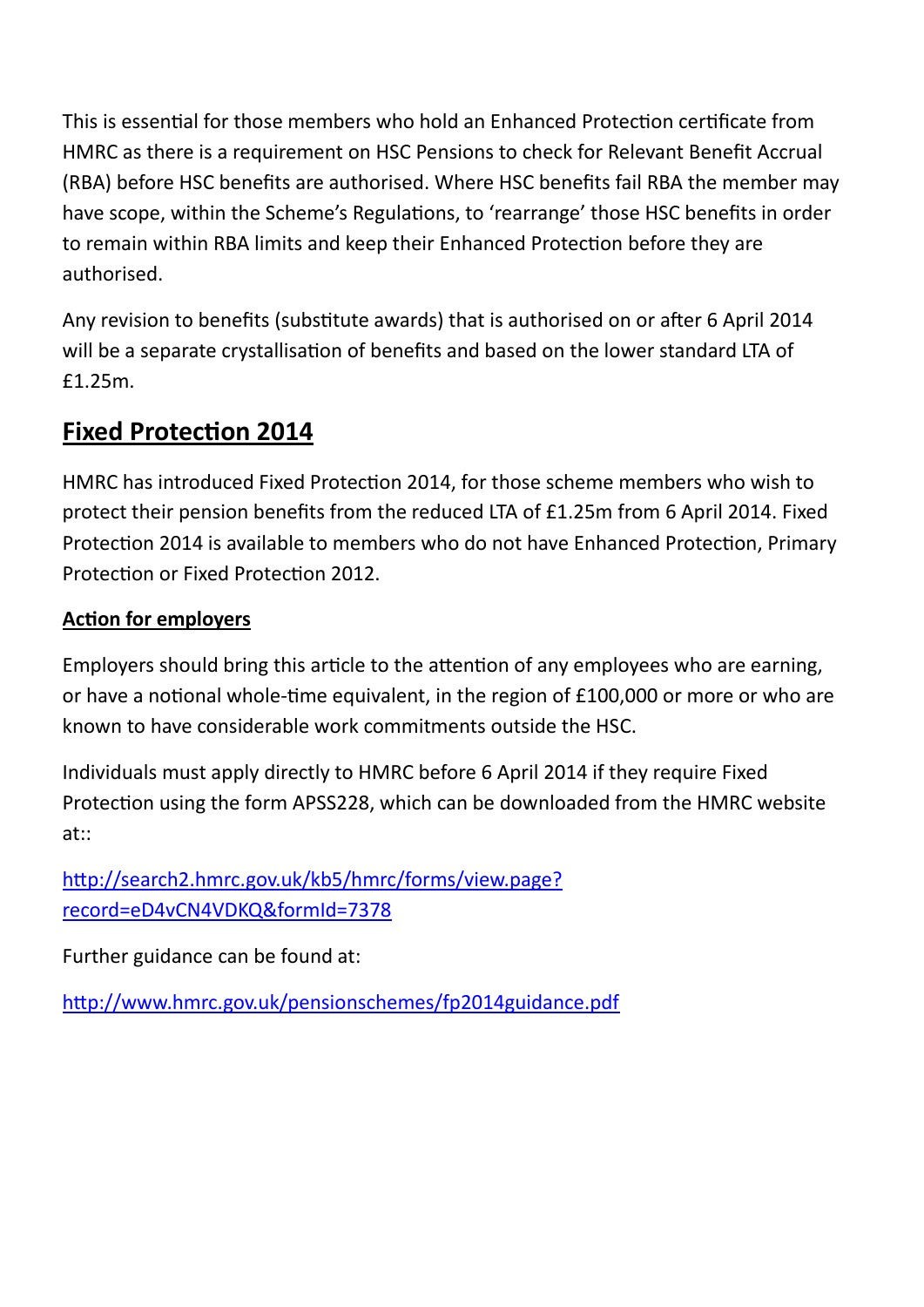This is essential for those members who hold an Enhanced Protection certificate from HMRC as there is a requirement on HSC Pensions to check for Relevant Benefit Accrual (RBA) before HSC benefits are authorised. Where HSC benefits fail RBA the member may have scope, within the Scheme's Regulations, to 'rearrange' those HSC benefits in order to remain within RBA limits and keep their Enhanced Protection before they are authorised.

Any revision to benefits (substitute awards) that is authorised on or after 6 April 2014 will be a separate crystallisation of benefits and based on the lower standard LTA of £1.25m.

### **Fixed Protection 2014**

HMRC has introduced Fixed Protection 2014, for those scheme members who wish to protect their pension benefits from the reduced LTA of £1.25m from 6 April 2014. Fixed Protection 2014 is available to members who do not have Enhanced Protection, Primary Protection or Fixed Protection 2012.

#### **Action for employers**

Employers should bring this article to the attention of any employees who are earning, or have a notional whole-time equivalent, in the region of £100,000 or more or who are known to have considerable work commitments outside the HSC.

Individuals must apply directly to HMRC before 6 April 2014 if they require Fixed Protection using the form APSS228, which can be downloaded from the HMRC website at::

[http://search2.hmrc.gov.uk/kb5/hmrc/forms/view.page?](http://search2.hmrc.gov.uk/kb5/hmrc/forms/view.page?record=eD4vCN4VDKQ&formId=7378) [record=eD4vCN4VDKQ&formId=7378](http://search2.hmrc.gov.uk/kb5/hmrc/forms/view.page?record=eD4vCN4VDKQ&formId=7378)

Further guidance can be found at:

<http://www.hmrc.gov.uk/pensionschemes/fp2014guidance.pdf>